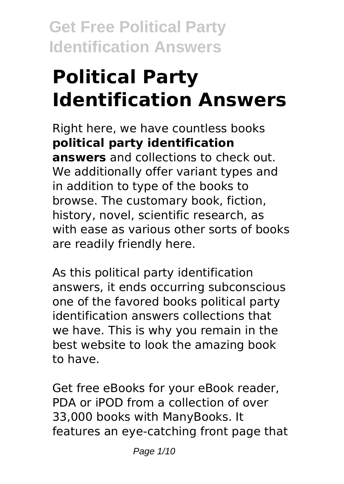# **Political Party Identification Answers**

Right here, we have countless books **political party identification answers** and collections to check out. We additionally offer variant types and in addition to type of the books to browse. The customary book, fiction, history, novel, scientific research, as with ease as various other sorts of books are readily friendly here.

As this political party identification answers, it ends occurring subconscious one of the favored books political party identification answers collections that we have. This is why you remain in the best website to look the amazing book to have.

Get free eBooks for your eBook reader, PDA or iPOD from a collection of over 33,000 books with ManyBooks. It features an eye-catching front page that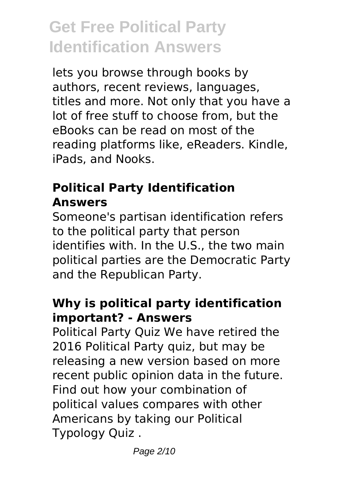lets you browse through books by authors, recent reviews, languages, titles and more. Not only that you have a lot of free stuff to choose from, but the eBooks can be read on most of the reading platforms like, eReaders. Kindle, iPads, and Nooks.

### **Political Party Identification Answers**

Someone's partisan identification refers to the political party that person identifies with. In the U.S., the two main political parties are the Democratic Party and the Republican Party.

### **Why is political party identification important? - Answers**

Political Party Quiz We have retired the 2016 Political Party quiz, but may be releasing a new version based on more recent public opinion data in the future. Find out how your combination of political values compares with other Americans by taking our Political Typology Quiz .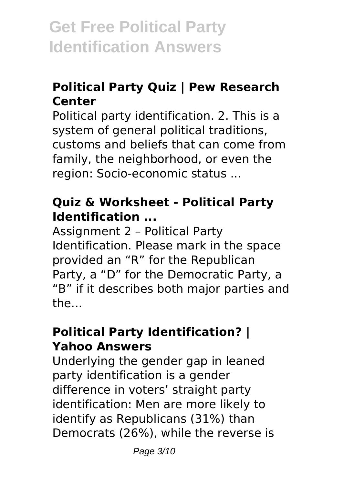### **Political Party Quiz | Pew Research Center**

Political party identification. 2. This is a system of general political traditions, customs and beliefs that can come from family, the neighborhood, or even the region: Socio-economic status ...

### **Quiz & Worksheet - Political Party Identification ...**

Assignment 2 – Political Party Identification. Please mark in the space provided an "R" for the Republican Party, a "D" for the Democratic Party, a "B" if it describes both major parties and the...

### **Political Party Identification? | Yahoo Answers**

Underlying the gender gap in leaned party identification is a gender difference in voters' straight party identification: Men are more likely to identify as Republicans (31%) than Democrats (26%), while the reverse is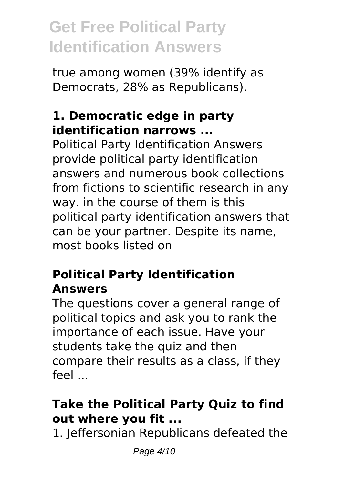true among women (39% identify as Democrats, 28% as Republicans).

### **1. Democratic edge in party identification narrows ...**

Political Party Identification Answers provide political party identification answers and numerous book collections from fictions to scientific research in any way. in the course of them is this political party identification answers that can be your partner. Despite its name, most books listed on

### **Political Party Identification Answers**

The questions cover a general range of political topics and ask you to rank the importance of each issue. Have your students take the quiz and then compare their results as a class, if they feel ...

### **Take the Political Party Quiz to find out where you fit ...**

1. Jeffersonian Republicans defeated the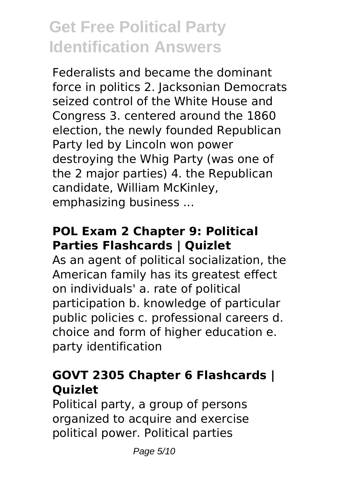Federalists and became the dominant force in politics 2. Jacksonian Democrats seized control of the White House and Congress 3. centered around the 1860 election, the newly founded Republican Party led by Lincoln won power destroying the Whig Party (was one of the 2 major parties) 4. the Republican candidate, William McKinley, emphasizing business ...

### **POL Exam 2 Chapter 9: Political Parties Flashcards | Quizlet**

As an agent of political socialization, the American family has its greatest effect on individuals' a. rate of political participation b. knowledge of particular public policies c. professional careers d. choice and form of higher education e. party identification

### **GOVT 2305 Chapter 6 Flashcards | Quizlet**

Political party, a group of persons organized to acquire and exercise political power. Political parties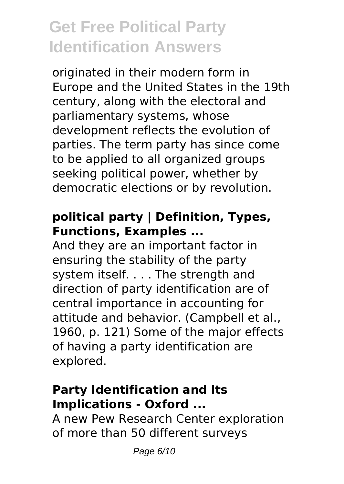originated in their modern form in Europe and the United States in the 19th century, along with the electoral and parliamentary systems, whose development reflects the evolution of parties. The term party has since come to be applied to all organized groups seeking political power, whether by democratic elections or by revolution.

### **political party | Definition, Types, Functions, Examples ...**

And they are an important factor in ensuring the stability of the party system itself. . . . The strength and direction of party identification are of central importance in accounting for attitude and behavior. (Campbell et al., 1960, p. 121) Some of the major effects of having a party identification are explored.

### **Party Identification and Its Implications - Oxford ...**

A new Pew Research Center exploration of more than 50 different surveys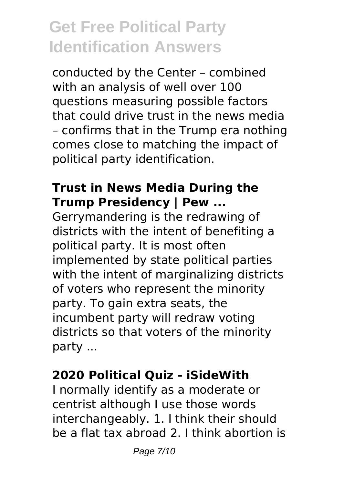conducted by the Center – combined with an analysis of well over 100 questions measuring possible factors that could drive trust in the news media – confirms that in the Trump era nothing comes close to matching the impact of political party identification.

#### **Trust in News Media During the Trump Presidency | Pew ...**

Gerrymandering is the redrawing of districts with the intent of benefiting a political party. It is most often implemented by state political parties with the intent of marginalizing districts of voters who represent the minority party. To gain extra seats, the incumbent party will redraw voting districts so that voters of the minority party ...

### **2020 Political Quiz - iSideWith**

I normally identify as a moderate or centrist although I use those words interchangeably. 1. I think their should be a flat tax abroad 2. I think abortion is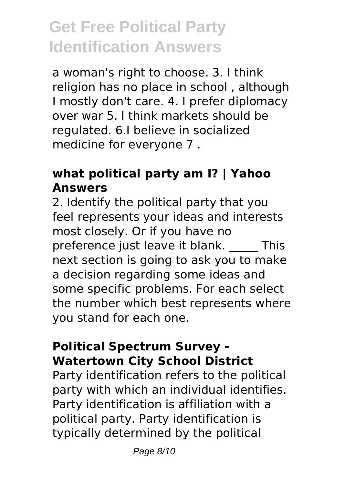a woman's right to choose. 3. I think religion has no place in school , although I mostly don't care. 4. I prefer diplomacy over war 5. I think markets should be regulated. 6.I believe in socialized medicine for everyone 7 .

### **what political party am I? | Yahoo Answers**

2. Identify the political party that you feel represents your ideas and interests most closely. Or if you have no preference just leave it blank. \_\_\_\_\_ This next section is going to ask you to make a decision regarding some ideas and some specific problems. For each select the number which best represents where you stand for each one.

#### **Political Spectrum Survey - Watertown City School District**

Party identification refers to the political party with which an individual identifies. Party identification is affiliation with a political party. Party identification is typically determined by the political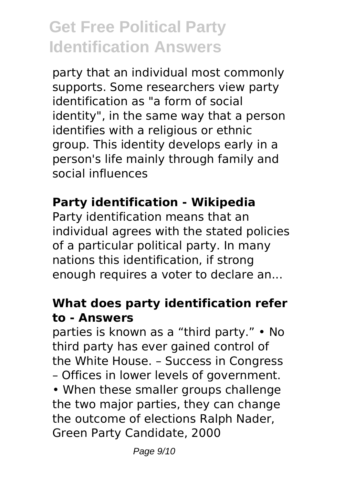party that an individual most commonly supports. Some researchers view party identification as "a form of social identity", in the same way that a person identifies with a religious or ethnic group. This identity develops early in a person's life mainly through family and social influences

### **Party identification - Wikipedia**

Party identification means that an individual agrees with the stated policies of a particular political party. In many nations this identification, if strong enough requires a voter to declare an...

#### **What does party identification refer to - Answers**

parties is known as a "third party." • No third party has ever gained control of the White House. – Success in Congress – Offices in lower levels of government. • When these smaller groups challenge the two major parties, they can change the outcome of elections Ralph Nader, Green Party Candidate, 2000